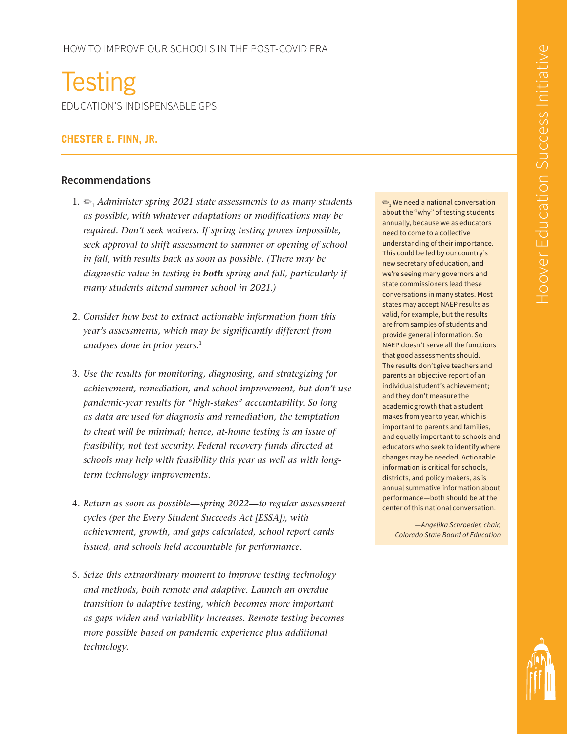**Testing** EDUCATION'S INDISPENSABLE GPS

# **CHESTER E. FINN, JR.**

### **Recommendations**

- 1. ✏<sup>1</sup> *Administer spring 2021 state assessments to as many students as possible, with whatever adaptations or modifications may be required. Don't seek waivers. If spring testing proves impossible, seek approval to shift assessment to summer or opening of school in fall, with results back as soon as possible. (There may be diagnostic value in testing in both spring and fall, particularly if many students attend summer school in 2021.)*
- 2. *Consider how best to extract actionable information from this year's assessments, which may be significantly different from analyses done in prior years.*<sup>1</sup>
- 3. *Use the results for monitoring, diagnosing, and strategizing for achievement, remediation, and school improvement, but don't use pandemic-year results for "high-stakes" accountability. So long as data are used for diagnosis and remediation, the temptation to cheat will be minimal; hence, at-home testing is an issue of feasibility, not test security. Federal recovery funds directed at schools may help with feasibility this year as well as with longterm technology improvements.*
- 4. *Return as soon as possible—spring 2022—to regular assessment cycles (per the Every Student Succeeds Act [ESSA]), with achievement, growth, and gaps calculated, school report cards issued, and schools held accountable for performance.*
- 5. *Seize this extraordinary moment to improve testing technology and methods, both remote and adaptive. Launch an overdue transition to adaptive testing, which becomes more important as gaps widen and variability increases. Remote testing becomes more possible based on pandemic experience plus additional technology.*

 $\mathfrak{S}_1$  We need a national conversation about the "why" of testing students annually, because we as educators need to come to a collective understanding of their importance. This could be led by our country's new secretary of education, and we're seeing many governors and state commissioners lead these conversations in many states. Most states may accept NAEP results as valid, for example, but the results are from samples of students and provide general information. So NAEP doesn't serve all the functions that good assessments should. The results don't give teachers and parents an objective report of an individual student's achievement; and they don't measure the academic growth that a student makes from year to year, which is important to parents and families, and equally important to schools and educators who seek to identify where changes may be needed. Actionable information is critical for schools, districts, and policy makers, as is annual summative information about performance—both should be at the center of this national conversation.

*—Angelika Schroeder, chair, Colorado State Board of Education*

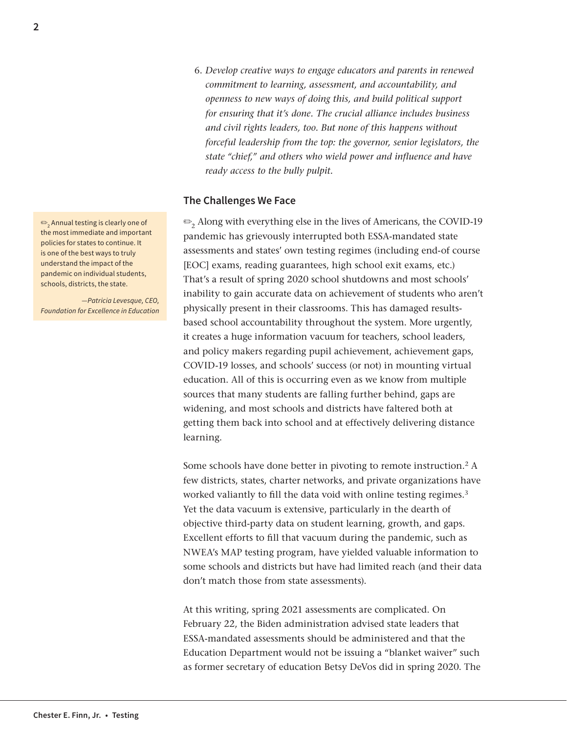6. *Develop creative ways to engage educators and parents in renewed commitment to learning, assessment, and accountability, and openness to new ways of doing this, and build political support for ensuring that it's done. The crucial alliance includes business and civil rights leaders, too. But none of this happens without forceful leadership from the top: the governor, senior legislators, the state "chief," and others who wield power and influence and have ready access to the bully pulpit.*

### **The Challenges We Face**

✏<sup>2</sup> Along with everything else in the lives of Americans, the COVID-19 pandemic has grievously interrupted both ESSA-mandated state assessments and states' own testing regimes (including end-of course [EOC] exams, reading guarantees, high school exit exams, etc.) That's a result of spring 2020 school shutdowns and most schools' inability to gain accurate data on achievement of students who aren't physically present in their classrooms. This has damaged resultsbased school accountability throughout the system. More urgently, it creates a huge information vacuum for teachers, school leaders, and policy makers regarding pupil achievement, achievement gaps, COVID-19 losses, and schools' success (or not) in mounting virtual education. All of this is occurring even as we know from multiple sources that many students are falling further behind, gaps are widening, and most schools and districts have faltered both at getting them back into school and at effectively delivering distance learning.

Some schools have done better in pivoting to remote instruction.<sup>2</sup> A few districts, states, charter networks, and private organizations have worked valiantly to fill the data void with online testing regimes.<sup>3</sup> Yet the data vacuum is extensive, particularly in the dearth of objective third-party data on student learning, growth, and gaps. Excellent efforts to fill that vacuum during the pandemic, such as NWEA's MAP testing program, have yielded valuable information to some schools and districts but have had limited reach (and their data don't match those from state assessments).

At this writing, spring 2021 assessments are complicated. On February 22, the Biden administration advised state leaders that ESSA-mandated assessments should be administered and that the Education Department would not be issuing a "blanket waiver" such as former secretary of education Betsy DeVos did in spring 2020. The

 $\mathbf{P}_{\mathbf{2}}$  Annual testing is clearly one of the most immediate and important policies for states to continue. It is one of the best ways to truly understand the impact of the pandemic on individual students, schools, districts, the state.

*—Patricia Levesque, CEO, Foundation for Excellence in Education*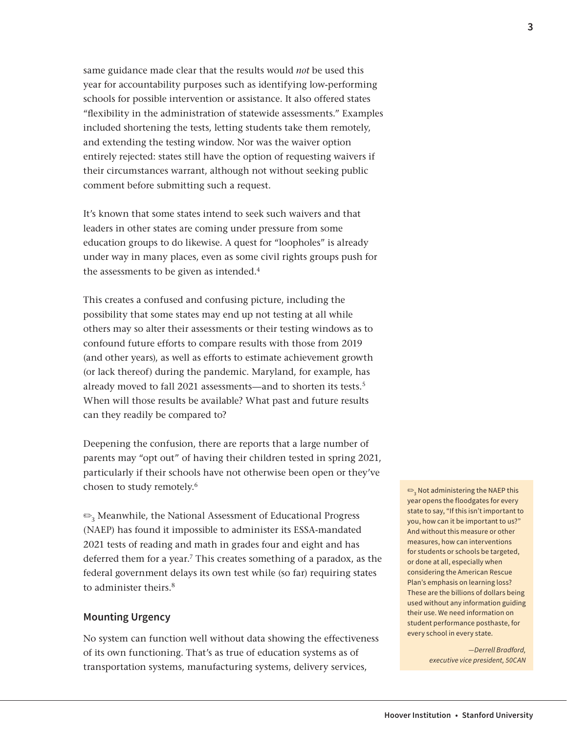same guidance made clear that the results would *not* be used this year for accountability purposes such as identifying low-performing schools for possible intervention or assistance. It also offered states "flexibility in the administration of statewide assessments." Examples included shortening the tests, letting students take them remotely, and extending the testing window. Nor was the waiver option entirely rejected: states still have the option of requesting waivers if their circumstances warrant, although not without seeking public comment before submitting such a request.

It's known that some states intend to seek such waivers and that leaders in other states are coming under pressure from some education groups to do likewise. A quest for "loopholes" is already under way in many places, even as some civil rights groups push for the assessments to be given as intended.<sup>4</sup>

This creates a confused and confusing picture, including the possibility that some states may end up not testing at all while others may so alter their assessments or their testing windows as to confound future efforts to compare results with those from 2019 (and other years), as well as efforts to estimate achievement growth (or lack thereof) during the pandemic. Maryland, for example, has already moved to fall 2021 assessments—and to shorten its tests.<sup>5</sup> When will those results be available? What past and future results can they readily be compared to?

Deepening the confusion, there are reports that a large number of parents may "opt out" of having their children tested in spring 2021, particularly if their schools have not otherwise been open or they've chosen to study remotely.6

✏3 Meanwhile, the National Assessment of Educational Progress (NAEP) has found it impossible to administer its ESSA-mandated 2021 tests of reading and math in grades four and eight and has deferred them for a year.<sup>7</sup> This creates something of a paradox, as the federal government delays its own test while (so far) requiring states to administer theirs.<sup>8</sup>

### **Mounting Urgency**

No system can function well without data showing the effectiveness of its own functioning. That's as true of education systems as of transportation systems, manufacturing systems, delivery services,

 $\text{\large $\frac{\footnotesize{0.3}}{2}$}$  Not administering the NAEP this year opens the floodgates for every state to say, "If this isn't important to you, how can it be important to us?" And without this measure or other measures, how can interventions for students or schools be targeted, or done at all, especially when considering the American Rescue Plan's emphasis on learning loss? These are the billions of dollars being used without any information guiding their use. We need information on student performance posthaste, for every school in every state.

> *—Derrell Bradford, executive vice president, 50CAN*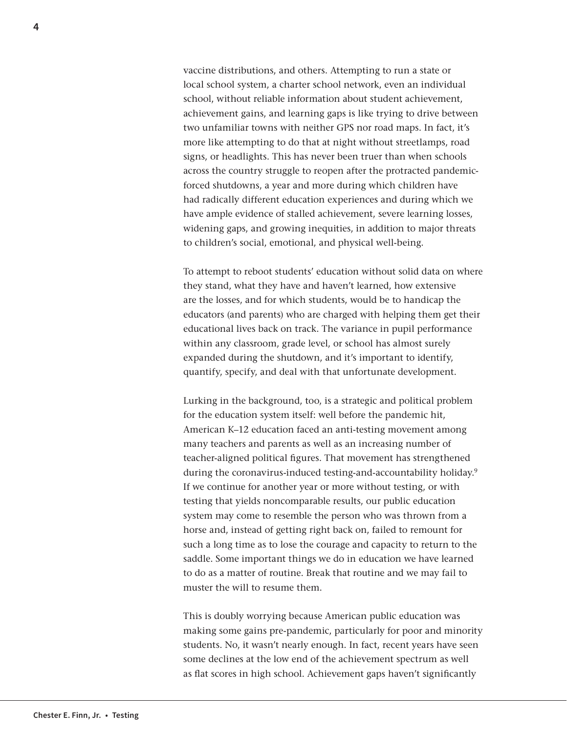vaccine distributions, and others. Attempting to run a state or local school system, a charter school network, even an individual school, without reliable information about student achievement, achievement gains, and learning gaps is like trying to drive between two unfamiliar towns with neither GPS nor road maps. In fact, it's more like attempting to do that at night without streetlamps, road signs, or headlights. This has never been truer than when schools across the country struggle to reopen after the protracted pandemicforced shutdowns, a year and more during which children have had radically different education experiences and during which we have ample evidence of stalled achievement, severe learning losses, widening gaps, and growing inequities, in addition to major threats to children's social, emotional, and physical well-being.

To attempt to reboot students' education without solid data on where they stand, what they have and haven't learned, how extensive are the losses, and for which students, would be to handicap the educators (and parents) who are charged with helping them get their educational lives back on track. The variance in pupil performance within any classroom, grade level, or school has almost surely expanded during the shutdown, and it's important to identify, quantify, specify, and deal with that unfortunate development.

Lurking in the background, too, is a strategic and political problem for the education system itself: well before the pandemic hit, American K–12 education faced an anti-testing movement among many teachers and parents as well as an increasing number of teacher-aligned political figures. That movement has strengthened during the coronavirus-induced testing-and-accountability holiday.<sup>9</sup> If we continue for another year or more without testing, or with testing that yields noncomparable results, our public education system may come to resemble the person who was thrown from a horse and, instead of getting right back on, failed to remount for such a long time as to lose the courage and capacity to return to the saddle. Some important things we do in education we have learned to do as a matter of routine. Break that routine and we may fail to muster the will to resume them.

This is doubly worrying because American public education was making some gains pre-pandemic, particularly for poor and minority students. No, it wasn't nearly enough. In fact, recent years have seen some declines at the low end of the achievement spectrum as well as flat scores in high school. Achievement gaps haven't significantly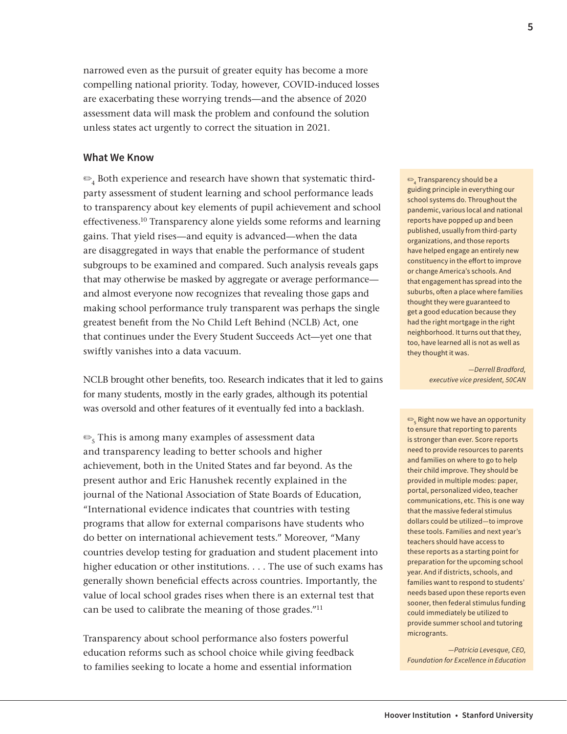narrowed even as the pursuit of greater equity has become a more compelling national priority. Today, however, COVID-induced losses are exacerbating these worrying trends—and the absence of 2020 assessment data will mask the problem and confound the solution unless states act urgently to correct the situation in 2021.

#### **What We Know**

 $\mathfrak{S}_4$  Both experience and research have shown that systematic thirdparty assessment of student learning and school performance leads to transparency about key elements of pupil achievement and school effectiveness.10 Transparency alone yields some reforms and learning gains. That yield rises—and equity is advanced—when the data are disaggregated in ways that enable the performance of student subgroups to be examined and compared. Such analysis reveals gaps that may otherwise be masked by aggregate or average performance and almost everyone now recognizes that revealing those gaps and making school performance truly transparent was perhaps the single greatest benefit from the No Child Left Behind (NCLB) Act, one that continues under the Every Student Succeeds Act—yet one that swiftly vanishes into a data vacuum.

NCLB brought other benefits, too. Research indicates that it led to gains for many students, mostly in the early grades, although its potential was oversold and other features of it eventually fed into a backlash.

 $\mathcal{F}_5$  This is among many examples of assessment data and transparency leading to better schools and higher achievement, both in the United States and far beyond. As the present author and Eric Hanushek recently explained in the journal of the National Association of State Boards of Education, "International evidence indicates that countries with testing programs that allow for external comparisons have students who do better on international achievement tests." Moreover, "Many countries develop testing for graduation and student placement into higher education or other institutions. . . . The use of such exams has generally shown beneficial effects across countries. Importantly, the value of local school grades rises when there is an external test that can be used to calibrate the meaning of those grades."11

Transparency about school performance also fosters powerful education reforms such as school choice while giving feedback to families seeking to locate a home and essential information

 $\textbf{\large{\textcircled{\small{-}}}}_4$  Transparency should be a guiding principle in everything our school systems do. Throughout the pandemic, various local and national reports have popped up and been published, usually from third-party organizations, and those reports have helped engage an entirely new constituency in the effort to improve or change America's schools. And that engagement has spread into the suburbs, often a place where families thought they were guaranteed to get a good education because they had the right mortgage in the right neighborhood. It turns out that they, too, have learned all is not as well as they thought it was.

> *—Derrell Bradford, executive vice president, 50CAN*

 $\textbf{e}_{\textbf{s}}$  Right now we have an opportunity to ensure that reporting to parents is stronger than ever. Score reports need to provide resources to parents and families on where to go to help their child improve. They should be provided in multiple modes: paper, portal, personalized video, teacher communications, etc. This is one way that the massive federal stimulus dollars could be utilized—to improve these tools. Families and next year's teachers should have access to these reports as a starting point for preparation for the upcoming school year. And if districts, schools, and families want to respond to students' needs based upon these reports even sooner, then federal stimulus funding could immediately be utilized to provide summer school and tutoring microgrants.

*—Patricia Levesque, CEO, Foundation for Excellence in Education*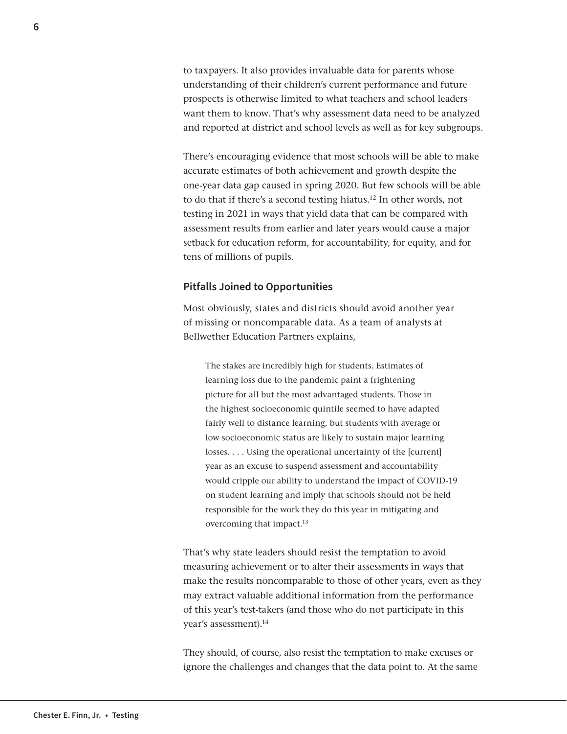to taxpayers. It also provides invaluable data for parents whose understanding of their children's current performance and future prospects is otherwise limited to what teachers and school leaders want them to know. That's why assessment data need to be analyzed and reported at district and school levels as well as for key subgroups.

There's encouraging evidence that most schools will be able to make accurate estimates of both achievement and growth despite the one-year data gap caused in spring 2020. But few schools will be able to do that if there's a second testing hiatus.<sup>12</sup> In other words, not testing in 2021 in ways that yield data that can be compared with assessment results from earlier and later years would cause a major setback for education reform, for accountability, for equity, and for tens of millions of pupils.

#### **Pitfalls Joined to Opportunities**

Most obviously, states and districts should avoid another year of missing or noncomparable data. As a team of analysts at Bellwether Education Partners explains,

The stakes are incredibly high for students. Estimates of learning loss due to the pandemic paint a frightening picture for all but the most advantaged students. Those in the highest socioeconomic quintile seemed to have adapted fairly well to distance learning, but students with average or low socioeconomic status are likely to sustain major learning losses. . . . Using the operational uncertainty of the [current] year as an excuse to suspend assessment and accountability would cripple our ability to understand the impact of COVID-19 on student learning and imply that schools should not be held responsible for the work they do this year in mitigating and overcoming that impact.<sup>13</sup>

That's why state leaders should resist the temptation to avoid measuring achievement or to alter their assessments in ways that make the results noncomparable to those of other years, even as they may extract valuable additional information from the performance of this year's test-takers (and those who do not participate in this year's assessment).14

They should, of course, also resist the temptation to make excuses or ignore the challenges and changes that the data point to. At the same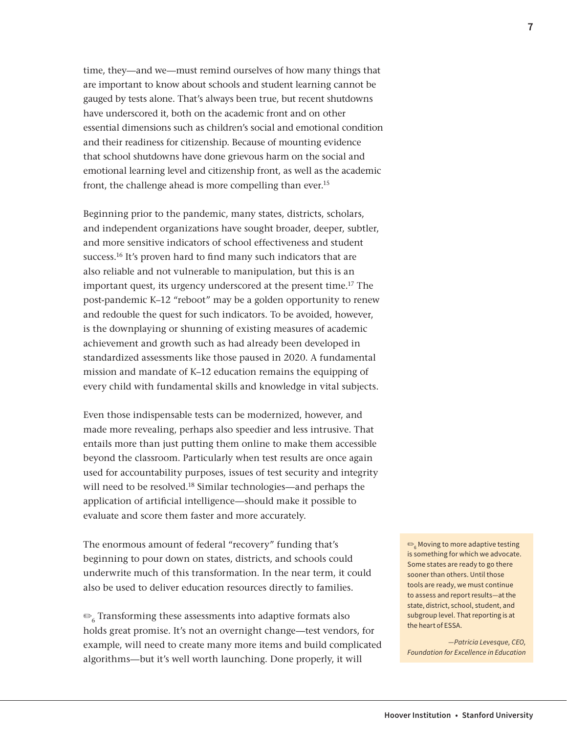time, they—and we—must remind ourselves of how many things that are important to know about schools and student learning cannot be gauged by tests alone. That's always been true, but recent shutdowns have underscored it, both on the academic front and on other essential dimensions such as children's social and emotional condition and their readiness for citizenship. Because of mounting evidence that school shutdowns have done grievous harm on the social and emotional learning level and citizenship front, as well as the academic front, the challenge ahead is more compelling than ever.<sup>15</sup>

Beginning prior to the pandemic, many states, districts, scholars, and independent organizations have sought broader, deeper, subtler, and more sensitive indicators of school effectiveness and student success.<sup>16</sup> It's proven hard to find many such indicators that are also reliable and not vulnerable to manipulation, but this is an important quest, its urgency underscored at the present time.17 The post-pandemic K–12 "reboot" may be a golden opportunity to renew and redouble the quest for such indicators. To be avoided, however, is the downplaying or shunning of existing measures of academic achievement and growth such as had already been developed in standardized assessments like those paused in 2020. A fundamental mission and mandate of K–12 education remains the equipping of every child with fundamental skills and knowledge in vital subjects.

Even those indispensable tests can be modernized, however, and made more revealing, perhaps also speedier and less intrusive. That entails more than just putting them online to make them accessible beyond the classroom. Particularly when test results are once again used for accountability purposes, issues of test security and integrity will need to be resolved.<sup>18</sup> Similar technologies—and perhaps the application of artificial intelligence—should make it possible to evaluate and score them faster and more accurately.

The enormous amount of federal "recovery" funding that's beginning to pour down on states, districts, and schools could underwrite much of this transformation. In the near term, it could also be used to deliver education resources directly to families.

 $\mathcal{L}_{6}$  Transforming these assessments into adaptive formats also holds great promise. It's not an overnight change—test vendors, for example, will need to create many more items and build complicated algorithms—but it's well worth launching. Done properly, it will

 $\textbf{e}_{_{6}}$  Moving to more adaptive testing is something for which we advocate. Some states are ready to go there sooner than others. Until those tools are ready, we must continue to assess and report results—at the state, district, school, student, and subgroup level. That reporting is at the heart of ESSA.

*—Patricia Levesque, CEO, Foundation for Excellence in Education*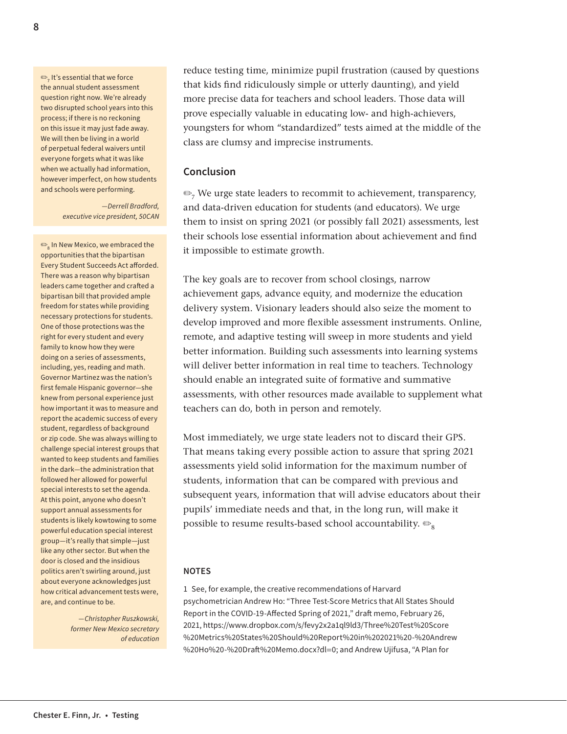$\mathbf{D}_7$  It's essential that we force the annual student assessment question right now. We're already two disrupted school years into this process; if there is no reckoning on this issue it may just fade away. We will then be living in a world of perpetual federal waivers until everyone forgets what it was like when we actually had information, however imperfect, on how students and schools were performing.

> *—Derrell Bradford, executive vice president, 50CAN*

 $\text{\large $\frac{\mathbb{S}}{8} $}$  In New Mexico, we embraced the opportunities that the bipartisan Every Student Succeeds Act afforded. There was a reason why bipartisan leaders came together and crafted a bipartisan bill that provided ample freedom for states while providing necessary protections for students. One of those protections was the right for every student and every family to know how they were doing on a series of assessments, including, yes, reading and math. Governor Martinez was the nation's first female Hispanic governor—she knew from personal experience just how important it was to measure and report the academic success of every student, regardless of background or zip code. She was always willing to challenge special interest groups that wanted to keep students and families in the dark—the administration that followed her allowed for powerful special interests to set the agenda. At this point, anyone who doesn't support annual assessments for students is likely kowtowing to some powerful education special interest group—it's really that simple—just like any other sector. But when the door is closed and the insidious politics aren't swirling around, just about everyone acknowledges just how critical advancement tests were, are, and continue to be.

> *—Christopher Ruszkowski, former New Mexico secretary of education*

reduce testing time, minimize pupil frustration (caused by questions that kids find ridiculously simple or utterly daunting), and yield more precise data for teachers and school leaders. Those data will prove especially valuable in educating low- and high-achievers, youngsters for whom "standardized" tests aimed at the middle of the class are clumsy and imprecise instruments.

#### **Conclusion**

 $\mathcal{P}_7$  We urge state leaders to recommit to achievement, transparency, and data-driven education for students (and educators). We urge them to insist on spring 2021 (or possibly fall 2021) assessments, lest their schools lose essential information about achievement and find it impossible to estimate growth.

The key goals are to recover from school closings, narrow achievement gaps, advance equity, and modernize the education delivery system. Visionary leaders should also seize the moment to develop improved and more flexible assessment instruments. Online, remote, and adaptive testing will sweep in more students and yield better information. Building such assessments into learning systems will deliver better information in real time to teachers. Technology should enable an integrated suite of formative and summative assessments, with other resources made available to supplement what teachers can do, both in person and remotely.

Most immediately, we urge state leaders not to discard their GPS. That means taking every possible action to assure that spring 2021 assessments yield solid information for the maximum number of students, information that can be compared with previous and subsequent years, information that will advise educators about their pupils' immediate needs and that, in the long run, will make it possible to resume results-based school accountability.  $\mathfrak{S}_8$ 

#### **NOTES**

1 See, for example, the creative recommendations of Harvard psychometrician Andrew Ho: "Three Test-Score Metrics that All States Should Report in the COVID-19-Affected Spring of 2021," draft memo, February 26, 2021, [https://www.dropbox.com/s/fevy2x2a1ql9ld3/Three%20Test%20Score](https://www.dropbox.com/s/fevy2x2a1ql9ld3/Three%20Test%20Score%20Metrics%20States%20Should%20Report%20in%202021%20-%20Andrew%20Ho%20-%20Draft%20Memo.docx?dl=0) [%20Metrics%20States%20Should%20Report%20in%202021%20-%20Andrew](https://www.dropbox.com/s/fevy2x2a1ql9ld3/Three%20Test%20Score%20Metrics%20States%20Should%20Report%20in%202021%20-%20Andrew%20Ho%20-%20Draft%20Memo.docx?dl=0) [%20Ho%20-%20Draft%20Memo.docx?dl](https://www.dropbox.com/s/fevy2x2a1ql9ld3/Three%20Test%20Score%20Metrics%20States%20Should%20Report%20in%202021%20-%20Andrew%20Ho%20-%20Draft%20Memo.docx?dl=0)=0; and Andrew Ujifusa, "A Plan for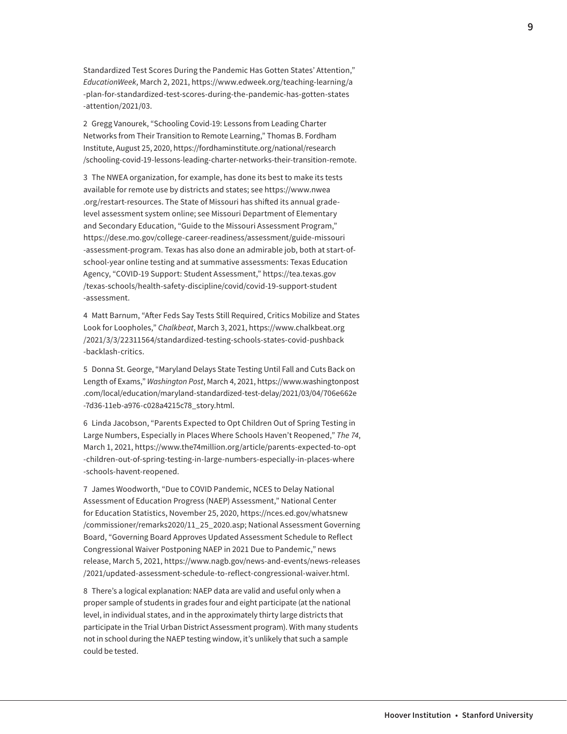Standardized Test Scores During the Pandemic Has Gotten States' Attention," *EducationWeek*, March 2, 2021, [https://www.edweek.org/teaching-learning/a](https://www.edweek.org/teaching-learning/a-plan-for-standardized-test-scores-during-the-pandemic-has-gotten-states-attention/2021/03) [-plan-for-standardized-test-scores-during-the-pandemic-has-gotten-states](https://www.edweek.org/teaching-learning/a-plan-for-standardized-test-scores-during-the-pandemic-has-gotten-states-attention/2021/03) [-attention/2021/03](https://www.edweek.org/teaching-learning/a-plan-for-standardized-test-scores-during-the-pandemic-has-gotten-states-attention/2021/03).

2 Gregg Vanourek, "Schooling Covid-19: Lessons from Leading Charter Networks from Their Transition to Remote Learning," Thomas B. Fordham Institute, August 25, 2020, [https://fordhaminstitute.org/national/research](https://fordhaminstitute.org/national/research/schooling-covid-19-lessons-leading-charter-networks-their-transition-remote) [/schooling-covid-19-lessons-leading-charter-networks-their-transition-remote](https://fordhaminstitute.org/national/research/schooling-covid-19-lessons-leading-charter-networks-their-transition-remote).

3 The NWEA organization, for example, has done its best to make its tests available for remote use by districts and states; see [https://www.nwea](https://www.nwea.org/restart-resources/) [.org/restart-resources.](https://www.nwea.org/restart-resources/) The State of Missouri has shifted its annual gradelevel assessment system online; see Missouri Department of Elementary and Secondary Education, "Guide to the Missouri Assessment Program," [https://dese.mo.gov/college-career-readiness/assessment/guide-missouri](https://dese.mo.gov/college-career-readiness/assessment/guide-missouri-assessment-program) [-assessment-program.](https://dese.mo.gov/college-career-readiness/assessment/guide-missouri-assessment-program) Texas has also done an admirable job, both at start-ofschool-year online testing and at summative assessments: Texas Education Agency, "COVID-19 Support: Student Assessment," [https://tea.texas.gov](https://tea.texas.gov/texas-schools/health-safety-discipline/covid/covid-19-support-student-assessment) [/texas-schools/health-safety-discipline/covid/covid-19-support-student](https://tea.texas.gov/texas-schools/health-safety-discipline/covid/covid-19-support-student-assessment) [-assessment](https://tea.texas.gov/texas-schools/health-safety-discipline/covid/covid-19-support-student-assessment).

4 Matt Barnum, "After Feds Say Tests Still Required, Critics Mobilize and States Look for Loopholes," *Chalkbeat*, March 3, 2021, [https://www.chalkbeat.org](https://www.chalkbeat.org/2021/3/3/22311564/standardized-testing-schools-states-covid-pushback-backlash-critics) [/2021/3/3/22311564/standardized-testing-schools-states-covid-pushback](https://www.chalkbeat.org/2021/3/3/22311564/standardized-testing-schools-states-covid-pushback-backlash-critics) [-backlash-critics.](https://www.chalkbeat.org/2021/3/3/22311564/standardized-testing-schools-states-covid-pushback-backlash-critics)

5 Donna St. George, "Maryland Delays State Testing Until Fall and Cuts Back on Length of Exams," *Washington Post*, March 4, 2021, [https://www.washingtonpost](https://www.washingtonpost.com/local/education/maryland-standardized-test-delay/2021/03/04/706e662e-7d36-11eb-a976-c028a4215c78_story.html) [.com/local/education/maryland-standardized-test-delay/2021/03/04/706e662e](https://www.washingtonpost.com/local/education/maryland-standardized-test-delay/2021/03/04/706e662e-7d36-11eb-a976-c028a4215c78_story.html) [-7d36-11eb-a976-c028a4215c78\\_story.html](https://www.washingtonpost.com/local/education/maryland-standardized-test-delay/2021/03/04/706e662e-7d36-11eb-a976-c028a4215c78_story.html).

6 Linda Jacobson, "Parents Expected to Opt Children Out of Spring Testing in Large Numbers, Especially in Places Where Schools Haven't Reopened," *The 74*, March 1, 2021, [https://www.the74million.org/article/parents-expected-to-opt](https://www.the74million.org/article/parents-expected-to-opt-children-out-of-spring-testing-in-large-numbers-especially-in-places-where-schools-havent-reopened) [-children-out-of-spring-testing-in-large-numbers-especially-in-places-where](https://www.the74million.org/article/parents-expected-to-opt-children-out-of-spring-testing-in-large-numbers-especially-in-places-where-schools-havent-reopened) [-schools-havent-reopened](https://www.the74million.org/article/parents-expected-to-opt-children-out-of-spring-testing-in-large-numbers-especially-in-places-where-schools-havent-reopened).

7 James Woodworth, "Due to COVID Pandemic, NCES to Delay National Assessment of Education Progress (NAEP) Assessment," National Center for Education Statistics, November 25, 2020, [https://nces.ed.gov/whatsnew](https://nces.ed.gov/whatsnew/commissioner/remarks2020/11_25_2020.asp) [/commissioner/remarks2020/11\\_25\\_2020.asp](https://nces.ed.gov/whatsnew/commissioner/remarks2020/11_25_2020.asp); National Assessment Governing Board, "Governing Board Approves Updated Assessment Schedule to Reflect Congressional Waiver Postponing NAEP in 2021 Due to Pandemic," news release, March 5, 2021, [https://www.nagb.gov/news-and-events/news-releases](https://www.nagb.gov/news-and-events/news-releases/2021/updated-assessment-schedule-to-reflect-congressional-waiver.html) [/2021/updated-assessment-schedule-to-reflect-congressional-waiver.html](https://www.nagb.gov/news-and-events/news-releases/2021/updated-assessment-schedule-to-reflect-congressional-waiver.html).

8 There's a logical explanation: NAEP data are valid and useful only when a proper sample of students in grades four and eight participate (at the national level, in individual states, and in the approximately thirty large districts that participate in the Trial Urban District Assessment program). With many students not in school during the NAEP testing window, it's unlikely that such a sample could be tested.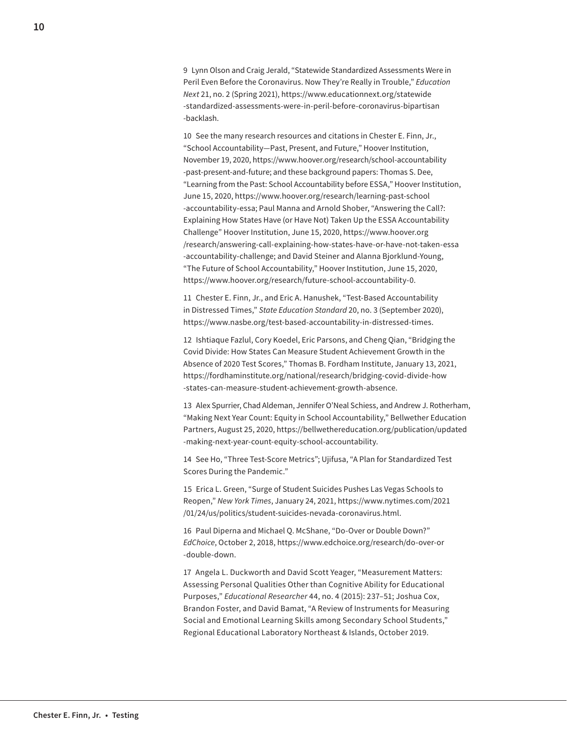9 Lynn Olson and Craig Jerald, "Statewide Standardized Assessments Were in Peril Even Before the Coronavirus. Now They're Really in Trouble," *Education Next* 21, no. 2 (Spring 2021), [https://www.educationnext.org/statewide](https://www.educationnext.org/statewide-standardized-assessments-were-in-peril-before-coronavirus-bipartisan-backlash) [-standardized-assessments-were-in-peril-before-coronavirus-bipartisan](https://www.educationnext.org/statewide-standardized-assessments-were-in-peril-before-coronavirus-bipartisan-backlash) [-backlash](https://www.educationnext.org/statewide-standardized-assessments-were-in-peril-before-coronavirus-bipartisan-backlash).

10 See the many research resources and citations in Chester E. Finn, Jr., "School Accountability—Past, Present, and Future," Hoover Institution, November 19, 2020, [https://www.hoover.org/research/school-accountability](https://www.hoover.org/research/school-accountability-past-present-and-future) [-past-present-and-future](https://www.hoover.org/research/school-accountability-past-present-and-future); and these background papers: Thomas S. Dee, "Learning from the Past: School Accountability before ESSA," Hoover Institution, June 15, 2020, [https://www.hoover.org/research/learning-past-school](https://www.hoover.org/research/learning-past-school-accountability-essa) [-accountability-essa;](https://www.hoover.org/research/learning-past-school-accountability-essa) Paul Manna and Arnold Shober, "Answering the Call?: Explaining How States Have (or Have Not) Taken Up the ESSA Accountability Challenge" Hoover Institution, June 15, 2020, [https://www.hoover.org](https://www.hoover.org/research/answering-call-explaining-how-states-have-or-have-not-taken-essa-accountability-challenge) [/research/answering-call-explaining-how-states-have-or-have-not-taken-essa](https://www.hoover.org/research/answering-call-explaining-how-states-have-or-have-not-taken-essa-accountability-challenge) [-accountability-challenge;](https://www.hoover.org/research/answering-call-explaining-how-states-have-or-have-not-taken-essa-accountability-challenge) and David Steiner and Alanna Bjorklund-Young, "The Future of School Accountability," Hoover Institution, June 15, 2020, [https://www.hoover.org/research/future-school-accountability-0.](https://www.hoover.org/research/future-school-accountability-0)

11 Chester E. Finn, Jr., and Eric A. Hanushek, "Test-Based Accountability in Distressed Times," *State Education Standard* 20, no. 3 (September 2020), <https://www.nasbe.org/test-based-accountability-in-distressed-times>.

12 Ishtiaque Fazlul, Cory Koedel, Eric Parsons, and Cheng Qian, "Bridging the Covid Divide: How States Can Measure Student Achievement Growth in the Absence of 2020 Test Scores," Thomas B. Fordham Institute, January 13, 2021, [https://fordhaminstitute.org/national/research/bridging-covid-divide-how](https://fordhaminstitute.org/national/research/bridging-covid-divide-how-states-can-measure-student-achievement-growth-absence) [-states-can-measure-student-achievement-growth-absence](https://fordhaminstitute.org/national/research/bridging-covid-divide-how-states-can-measure-student-achievement-growth-absence).

13 Alex Spurrier, Chad Aldeman, Jennifer O'Neal Schiess, and Andrew J. Rotherham, "Making Next Year Count: Equity in School Accountability," Bellwether Education Partners, August 25, 2020, [https://bellwethereducation.org/publication/updated](https://bellwethereducation.org/publication/updated-making-next-year-count-equity-school-accountability) [-making-next-year-count-equity-school-accountability](https://bellwethereducation.org/publication/updated-making-next-year-count-equity-school-accountability).

14 See Ho, "Three Test-Score Metrics"; Ujifusa, "A Plan for Standardized Test Scores During the Pandemic."

15 Erica L. Green, "Surge of Student Suicides Pushes Las Vegas Schools to Reopen," *New York Times*, January 24, 2021, [https://www.nytimes.com/2021](https://www.nytimes.com/2021/01/24/us/politics/student-suicides-nevada-coronavirus.html) [/01/24/us/politics/student-suicides-nevada-coronavirus.html](https://www.nytimes.com/2021/01/24/us/politics/student-suicides-nevada-coronavirus.html).

16 Paul Diperna and Michael Q. McShane, "Do-Over or Double Down?" *EdChoice*, October 2, 2018, [https://www.edchoice.org/research/do-over-or](https://www.edchoice.org/research/do-over-or-double-down) [-double-down.](https://www.edchoice.org/research/do-over-or-double-down)

17 Angela L. Duckworth and David Scott Yeager, "Measurement Matters: Assessing Personal Qualities Other than Cognitive Ability for Educational Purposes," *Educational Researcher* 44, no. 4 (2015): 237–51; Joshua Cox, Brandon Foster, and David Bamat, "A Review of Instruments for Measuring Social and Emotional Learning Skills among Secondary School Students," Regional Educational Laboratory Northeast & Islands, October 2019.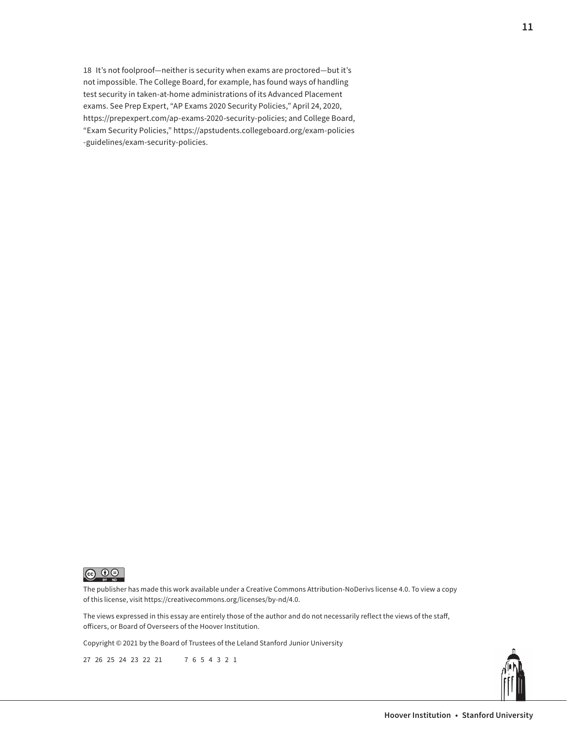18 It's not foolproof—neither is security when exams are proctored—but it's not impossible. The College Board, for example, has found ways of handling test security in taken-at-home administrations of its Advanced Placement exams. See Prep Expert, "AP Exams 2020 Security Policies," April 24, 2020, [https://prepexpert.com/ap-exams-2020-security-policies;](https://prepexpert.com/ap-exams-2020-security-policies/) and College Board, "Exam Security Policies," [https://apstudents.collegeboard.org/exam-policies](https://apstudents.collegeboard.org/exam-policies-guidelines/exam-security-policies) [-guidelines/exam-security-policies](https://apstudents.collegeboard.org/exam-policies-guidelines/exam-security-policies).



The publisher has made this work available under a Creative Commons Attribution-NoDerivs license 4.0. To view a copy of this license, visit <https://creativecommons.org/licenses/by-nd/4.0>.

The views expressed in this essay are entirely those of the author and do not necessarily reflect the views of the staff, officers, or Board of Overseers of the Hoover Institution.

Copyright © 2021 by the Board of Trustees of the Leland Stanford Junior University

27 26 25 24 23 22 21 7 6 5 4 3 2 1